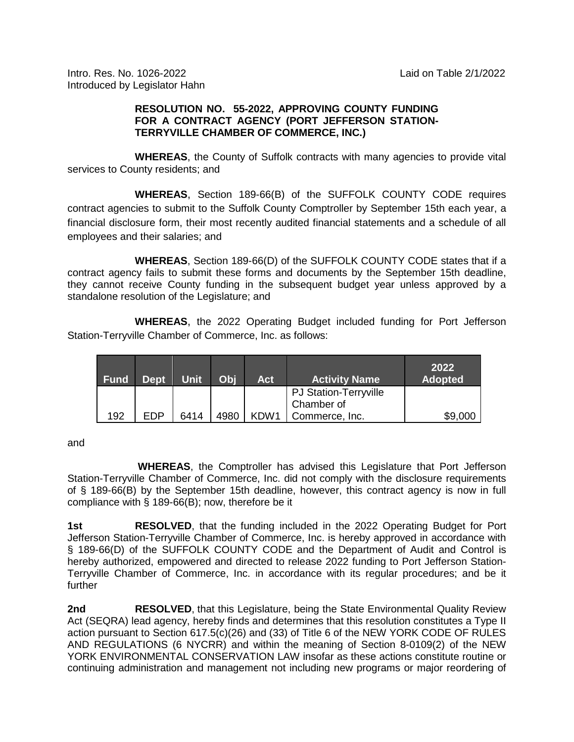Intro. Res. No. 1026-2022 Laid on Table 2/1/2022 Introduced by Legislator Hahn

## **RESOLUTION NO. 55-2022, APPROVING COUNTY FUNDING FOR A CONTRACT AGENCY (PORT JEFFERSON STATION-TERRYVILLE CHAMBER OF COMMERCE, INC.)**

**WHEREAS**, the County of Suffolk contracts with many agencies to provide vital services to County residents; and

**WHEREAS**, Section 189-66(B) of the SUFFOLK COUNTY CODE requires contract agencies to submit to the Suffolk County Comptroller by September 15th each year, a financial disclosure form, their most recently audited financial statements and a schedule of all employees and their salaries; and

**WHEREAS**, Section 189-66(D) of the SUFFOLK COUNTY CODE states that if a contract agency fails to submit these forms and documents by the September 15th deadline, they cannot receive County funding in the subsequent budget year unless approved by a standalone resolution of the Legislature; and

**WHEREAS**, the 2022 Operating Budget included funding for Port Jefferson Station-Terryville Chamber of Commerce, Inc. as follows:

| <b>Fund</b> | <b>Dept</b> | Unit | Obj  | <b>Act</b> | <b>Activity Name</b>         | 2022<br><b>Adopted</b> |
|-------------|-------------|------|------|------------|------------------------------|------------------------|
|             |             |      |      |            | <b>PJ Station-Terryville</b> |                        |
|             |             |      |      |            | Chamber of                   |                        |
| 192         | <b>FDP</b>  | 6414 | 4980 | KDW1       | Commerce, Inc.               | \$9,000                |

and

**WHEREAS**, the Comptroller has advised this Legislature that Port Jefferson Station-Terryville Chamber of Commerce, Inc. did not comply with the disclosure requirements of § 189-66(B) by the September 15th deadline, however, this contract agency is now in full compliance with § 189-66(B); now, therefore be it

**1st RESOLVED**, that the funding included in the 2022 Operating Budget for Port Jefferson Station-Terryville Chamber of Commerce, Inc. is hereby approved in accordance with § 189-66(D) of the SUFFOLK COUNTY CODE and the Department of Audit and Control is hereby authorized, empowered and directed to release 2022 funding to Port Jefferson Station-Terryville Chamber of Commerce, Inc. in accordance with its regular procedures; and be it further

**2nd RESOLVED**, that this Legislature, being the State Environmental Quality Review Act (SEQRA) lead agency, hereby finds and determines that this resolution constitutes a Type II action pursuant to Section 617.5(c)(26) and (33) of Title 6 of the NEW YORK CODE OF RULES AND REGULATIONS (6 NYCRR) and within the meaning of Section 8-0109(2) of the NEW YORK ENVIRONMENTAL CONSERVATION LAW insofar as these actions constitute routine or continuing administration and management not including new programs or major reordering of